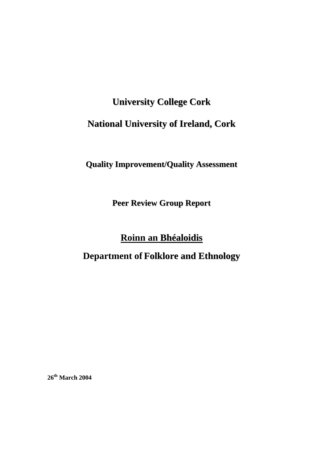# **University College Cork**

# **National University of Ireland, Cork**

# **Quality Improvement/Quality Assessment**

**Peer Review Group Report**

# **Roinn an Bhéaloidis**

# **Department of Folklore and Ethnology**

**26th March 2004**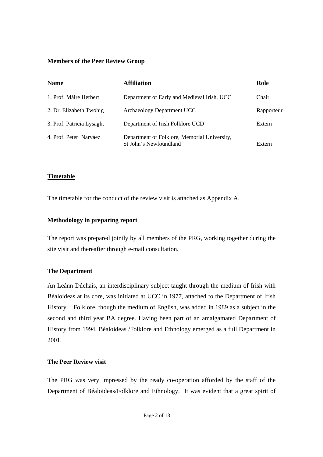# **Members of the Peer Review Group**

| <b>Name</b>               | <b>Affiliation</b>                                                     | Role       |
|---------------------------|------------------------------------------------------------------------|------------|
| 1. Prof. Máire Herbert    | Department of Early and Medieval Irish, UCC                            | Chair      |
| 2. Dr. Elizabeth Twohig   | Archaeology Department UCC                                             | Rapporteur |
| 3. Prof. Patricia Lysaght | Department of Irish Folklore UCD                                       | Extern     |
| 4. Prof. Peter Narváez    | Department of Folklore, Memorial University,<br>St John's Newfoundland | Extern     |

# **Timetable**

The timetable for the conduct of the review visit is attached as Appendix A.

# **Methodology in preparing report**

The report was prepared jointly by all members of the PRG, working together during the site visit and thereafter through e-mail consultation.

# **The Department**

An Leánn Dúchais, an interdisciplinary subject taught through the medium of Irish with Béaloideas at its core, was initiated at UCC in 1977, attached to the Department of Irish History. Folklore, though the medium of English, was added in 1989 as a subject in the second and third year BA degree. Having been part of an amalgamated Department of History from 1994, Béaloideas /Folklore and Ethnology emerged as a full Department in 2001.

#### **The Peer Review visit**

The PRG was very impressed by the ready co-operation afforded by the staff of the Department of Béaloideas/Folklore and Ethnology. It was evident that a great spirit of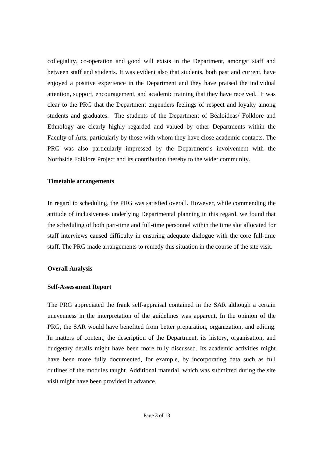collegiality, co-operation and good will exists in the Department, amongst staff and between staff and students. It was evident also that students, both past and current, have enjoyed a positive experience in the Department and they have praised the individual attention, support, encouragement, and academic training that they have received. It was clear to the PRG that the Department engenders feelings of respect and loyalty among students and graduates. The students of the Department of Béaloideas/ Folklore and Ethnology are clearly highly regarded and valued by other Departments within the Faculty of Arts, particularly by those with whom they have close academic contacts. The PRG was also particularly impressed by the Department's involvement with the Northside Folklore Project and its contribution thereby to the wider community.

#### **Timetable arrangements**

In regard to scheduling, the PRG was satisfied overall. However, while commending the attitude of inclusiveness underlying Departmental planning in this regard, we found that the scheduling of both part-time and full-time personnel within the time slot allocated for staff interviews caused difficulty in ensuring adequate dialogue with the core full-time staff. The PRG made arrangements to remedy this situation in the course of the site visit.

#### **Overall Analysis**

#### **Self-Assessment Report**

The PRG appreciated the frank self-appraisal contained in the SAR although a certain unevenness in the interpretation of the guidelines was apparent. In the opinion of the PRG, the SAR would have benefited from better preparation, organization, and editing. In matters of content, the description of the Department, its history, organisation, and budgetary details might have been more fully discussed. Its academic activities might have been more fully documented, for example, by incorporating data such as full outlines of the modules taught. Additional material, which was submitted during the site visit might have been provided in advance.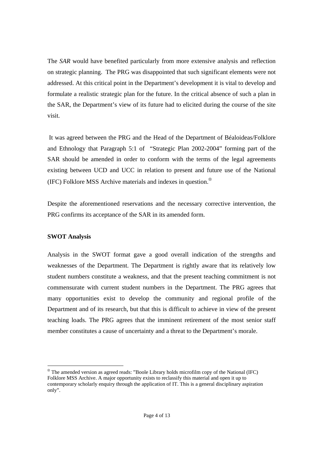The *SAR* would have benefited particularly from more extensive analysis and reflection on strategic planning. The PRG was disappointed that such significant elements were not addressed. At this critical point in the Department's development it is vital to develop and formulate a realistic strategic plan for the future. In the critical absence of such a plan in the SAR, the Department's view of its future had to elicited during the course of the site visit.

 It was agreed between the PRG and the Head of the Department of Béaloideas/Folklore and Ethnology that Paragraph 5:1 of "Strategic Plan 2002-2004" forming part of the SAR should be amended in order to conform with the terms of the legal agreements existing between UCD and UCC in relation to present and future use of the National (IFC) Folklore MSS Archive materials and indexes in question.<sup>⊗</sup>

Despite the aforementioned reservations and the necessary corrective intervention, the PRG confirms its acceptance of the SAR in its amended form.

# **SWOT Analysis**

Analysis in the SWOT format gave a good overall indication of the strengths and weaknesses of the Department. The Department is rightly aware that its relatively low student numbers constitute a weakness, and that the present teaching commitment is not commensurate with current student numbers in the Department. The PRG agrees that many opportunities exist to develop the community and regional profile of the Department and of its research, but that this is difficult to achieve in view of the present teaching loads. The PRG agrees that the imminent retirement of the most senior staff member constitutes a cause of uncertainty and a threat to the Department's morale.

<sup>⊗</sup> The amended version as agreed reads: "Boole Library holds microfilm copy of the National (IFC) Folklore MSS Archive. A major opportunity exists to reclassify this material and open it up to contemporary scholarly enquiry through the application of IT. This is a general disciplinary aspiration only".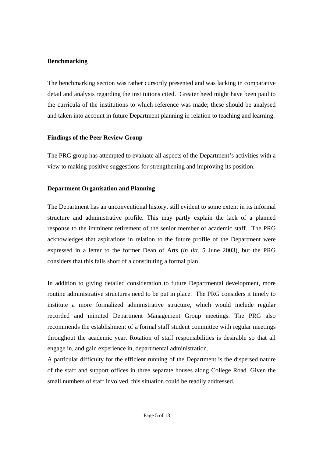# **Benchmarking**

The benchmarking section was rather cursorily presented and was lacking in comparative detail and analysis regarding the institutions cited. Greater heed might have been paid to the curricula of the institutions to which reference was made; these should be analysed and taken into account in future Department planning in relation to teaching and learning.

# **Findings of the Peer Review Group**

The PRG group has attempted to evaluate all aspects of the Department's activities with a view to making positive suggestions for strengthening and improving its position.

# **Department Organisation and Planning**

The Department has an unconventional history, still evident to some extent in its informal structure and administrative profile. This may partly explain the lack of a planned response to the imminent retirement of the senior member of academic staff. The PRG acknowledges that aspirations in relation to the future profile of the Department were expressed in a letter to the former Dean of Arts (*in litt*. 5 June 2003), but the PRG considers that this falls short of a constituting a formal plan.

In addition to giving detailed consideration to future Departmental development, more routine administrative structures need to be put in place. The PRG considers it timely to institute a more formalized administrative structure, which would include regular recorded and minuted Department Management Group meetings. The PRG also recommends the establishment of a formal staff student committee with regular meetings throughout the academic year. Rotation of staff responsibilities is desirable so that all engage in, and gain experience in, departmental administration.

A particular difficulty for the efficient running of the Department is the dispersed nature of the staff and support offices in three separate houses along College Road. Given the small numbers of staff involved, this situation could be readily addressed.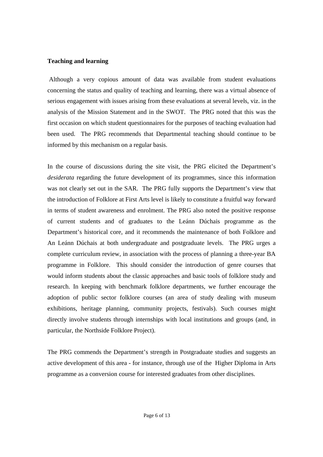#### **Teaching and learning**

 Although a very copious amount of data was available from student evaluations concerning the status and quality of teaching and learning, there was a virtual absence of serious engagement with issues arising from these evaluations at several levels, viz. in the analysis of the Mission Statement and in the SWOT. The PRG noted that this was the first occasion on which student questionnaires for the purposes of teaching evaluation had been used. The PRG recommends that Departmental teaching should continue to be informed by this mechanism on a regular basis.

In the course of discussions during the site visit, the PRG elicited the Department's *desiderata* regarding the future development of its programmes, since this information was not clearly set out in the SAR. The PRG fully supports the Department's view that the introduction of Folklore at First Arts level is likely to constitute a fruitful way forward in terms of student awareness and enrolment. The PRG also noted the positive response of current students and of graduates to the Leánn Dúchais programme as the Department's historical core, and it recommends the maintenance of both Folklore and An Leánn Dúchais at both undergraduate and postgraduate levels. The PRG urges a complete curriculum review, in association with the process of planning a three-year BA programme in Folklore. This should consider the introduction of genre courses that would inform students about the classic approaches and basic tools of folklore study and research. In keeping with benchmark folklore departments, we further encourage the adoption of public sector folklore courses (an area of study dealing with museum exhibitions, heritage planning, community projects, festivals). Such courses might directly involve students through internships with local institutions and groups (and, in particular, the Northside Folklore Project).

The PRG commends the Department's strength in Postgraduate studies and suggests an active development of this area - for instance, through use of the Higher Diploma in Arts programme as a conversion course for interested graduates from other disciplines.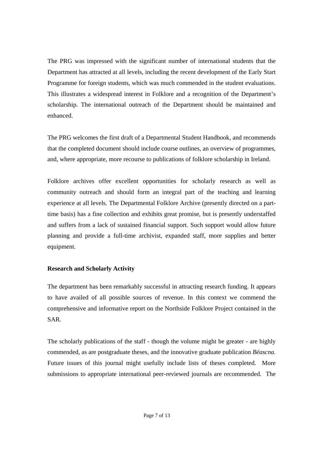The PRG was impressed with the significant number of international students that the Department has attracted at all levels, including the recent development of the Early Start Programme for foreign students, which was much commended in the student evaluations. This illustrates a widespread interest in Folklore and a recognition of the Department's scholarship. The international outreach of the Department should be maintained and enhanced.

The PRG welcomes the first draft of a Departmental Student Handbook, and recommends that the completed document should include course outlines, an overview of programmes, and, where appropriate, more recourse to publications of folklore scholarship in Ireland.

Folklore archives offer excellent opportunities for scholarly research as well as community outreach and should form an integral part of the teaching and learning experience at all levels. The Departmental Folklore Archive (presently directed on a parttime basis) has a fine collection and exhibits great promise, but is presently understaffed and suffers from a lack of sustained financial support. Such support would allow future planning and provide a full-time archivist, expanded staff, more supplies and better equipment.

# **Research and Scholarly Activity**

The department has been remarkably successful in attracting research funding. It appears to have availed of all possible sources of revenue. In this context we commend the comprehensive and informative report on the Northside Folklore Project contained in the SAR.

The scholarly publications of the staff - though the volume might be greater - are highly commended, as are postgraduate theses, and the innovative graduate publication *Béascna.*  Future issues of this journal might usefully include lists of theses completed. More submissions to appropriate international peer-reviewed journals are recommended. The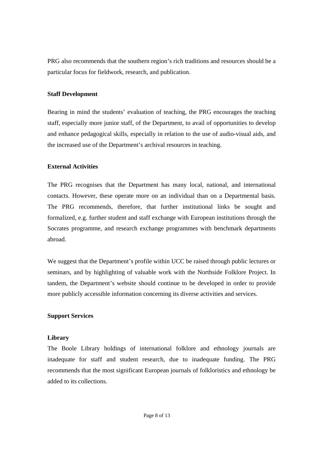PRG also recommends that the southern region's rich traditions and resources should be a particular focus for fieldwork, research, and publication.

# **Staff Development**

Bearing in mind the students' evaluation of teaching, the PRG encourages the teaching staff, especially more junior staff, of the Department, to avail of opportunities to develop and enhance pedagogical skills, especially in relation to the use of audio-visual aids, and the increased use of the Department's archival resources in teaching.

# **External Activities**

The PRG recognises that the Department has many local, national, and international contacts. However, these operate more on an individual than on a Departmental basis. The PRG recommends, therefore, that further institutional links be sought and formalized, e.g. further student and staff exchange with European institutions through the Socrates programme, and research exchange programmes with benchmark departments abroad.

We suggest that the Department's profile within UCC be raised through public lectures or seminars, and by highlighting of valuable work with the Northside Folklore Project. In tandem, the Department's website should continue to be developed in order to provide more publicly accessible information concerning its diverse activities and services.

# **Support Services**

#### **Library**

The Boole Library holdings of international folklore and ethnology journals are inadequate for staff and student research, due to inadequate funding. The PRG recommends that the most significant European journals of folkloristics and ethnology be added to its collections.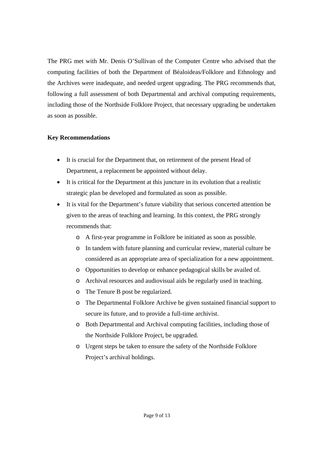The PRG met with Mr. Denis O'Sullivan of the Computer Centre who advised that the computing facilities of both the Department of Béaloideas/Folklore and Ethnology and the Archives were inadequate, and needed urgent upgrading. The PRG recommends that, following a full assessment of both Departmental and archival computing requirements, including those of the Northside Folklore Project, that necessary upgrading be undertaken as soon as possible.

# **Key Recommendations**

- It is crucial for the Department that, on retirement of the present Head of Department, a replacement be appointed without delay.
- It is critical for the Department at this juncture in its evolution that a realistic strategic plan be developed and formulated as soon as possible.
- It is vital for the Department's future viability that serious concerted attention be given to the areas of teaching and learning. In this context, the PRG strongly recommends that:
	- o A first-year programme in Folklore be initiated as soon as possible.
	- o In tandem with future planning and curricular review, material culture be considered as an appropriate area of specialization for a new appointment.
	- o Opportunities to develop or enhance pedagogical skills be availed of.
	- o Archival resources and audiovisual aids be regularly used in teaching.
	- o The Tenure B post be regularized.
	- o The Departmental Folklore Archive be given sustained financial support to secure its future, and to provide a full-time archivist.
	- o Both Departmental and Archival computing facilities, including those of the Northside Folklore Project, be upgraded.
	- o Urgent steps be taken to ensure the safety of the Northside Folklore Project's archival holdings.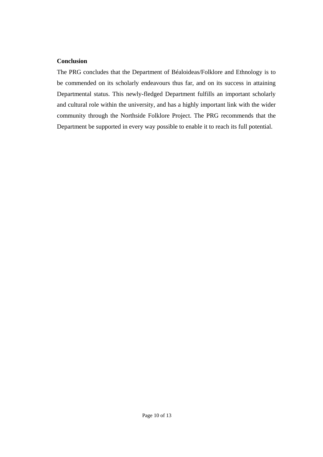#### **Conclusion**

The PRG concludes that the Department of Béaloideas/Folklore and Ethnology is to be commended on its scholarly endeavours thus far, and on its success in attaining Departmental status. This newly-fledged Department fulfills an important scholarly and cultural role within the university, and has a highly important link with the wider community through the Northside Folklore Project. The PRG recommends that the Department be supported in every way possible to enable it to reach its full potential.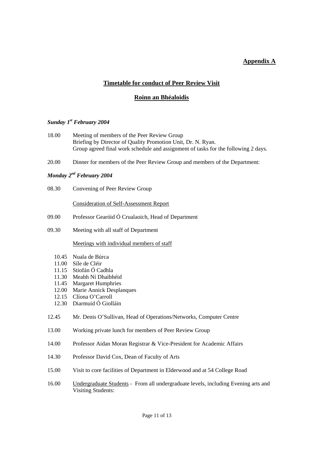# **Appendix A**

# **Timetable for conduct of Peer Review Visit**

# **Roinn an Bhéaloidis**

#### *Sunday 1st February 2004*

- 18.00 Meeting of members of the Peer Review Group Briefing by Director of Quality Promotion Unit, Dr. N. Ryan. Group agreed final work schedule and assignment of tasks for the following 2 days*.*
- 20.00 Dinner for members of the Peer Review Group and members of the Department:

# *Monday 2nd February 2004*

08.30 Convening of Peer Review Group

Consideration of Self-Assessment Report

- 09.00 Professor Gearóid Ó Crualaoich, Head of Department
- 09.30 Meeting with all staff of Department

#### Meetings with individual members of staff

- 10.45 Nuala de Búrca
- 11.00 Síle de Cléir
- 11.15 Stiofán Ó Cadhla
- 11.30 Meabh Ní Dhaibhéid
- 11.45 Margaret Humphries
- 12.00 Marie Annick Desplanques
- 12.15 Clíona O'Carroll
- 12.30 Diarmuid Ó Giolláin
- 12.45 Mr. Denis O'Sullivan, Head of Operations/Networks, Computer Centre
- 13.00 Working private lunch for members of Peer Review Group
- 14.00 Professor Aidan Moran Registrar & Vice-President for Academic Affairs
- 14.30 Professor David Cox, Dean of Faculty of Arts
- 15.00 Visit to core facilities of Department in Elderwood and at 54 College Road
- 16.00 Undergraduate Students From all undergraduate levels, including Evening arts and Visiting Students: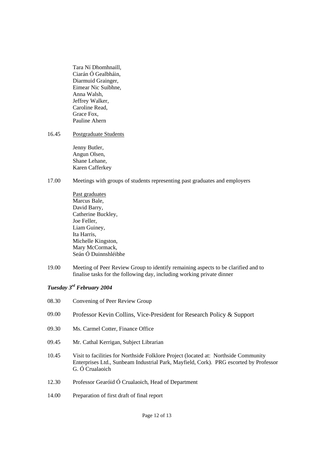Tara Ní Dhomhnaill, Ciarán Ó Gealbháin, Diarmuid Grainger, Eimear Nic Suibhne, Anna Walsh, Jeffrey Walker, Caroline Read, Grace Fox, Pauline Ahern

#### 16.45 Postgraduate Students

Jenny Butler, Angun Olsen, Shane Lehane, Karen Cafferkey

#### 17.00 Meetings with groups of students representing past graduates and employers

Past graduates Marcus Bale. David Barry, Catherine Buckley, Joe Feller, Liam Guiney, Ita Harris, Michelle Kingston, Mary McCormack, Seán Ó Duinnshléibhe

19.00 Meeting of Peer Review Group to identify remaining aspects to be clarified and to finalise tasks for the following day, including working private dinner

# *Tuesday 3rd February 2004*

| 08.30 | Convening of Peer Review Group                                                                                                                                                                  |
|-------|-------------------------------------------------------------------------------------------------------------------------------------------------------------------------------------------------|
| 09.00 | Professor Kevin Collins, Vice-President for Research Policy & Support                                                                                                                           |
| 09.30 | Ms. Carmel Cotter, Finance Office                                                                                                                                                               |
| 09.45 | Mr. Cathal Kerrigan, Subject Librarian                                                                                                                                                          |
| 10.45 | Visit to facilities for Northside Folklore Project (located at: Northside Community<br>Enterprises Ltd., Sunbeam Industrial Park, Mayfield, Cork). PRG escorted by Professor<br>G. Ó Crualaoich |
| 12.30 | Professor Gearóid Ó Crualaoich, Head of Department                                                                                                                                              |
| 14.00 | Preparation of first draft of final report                                                                                                                                                      |